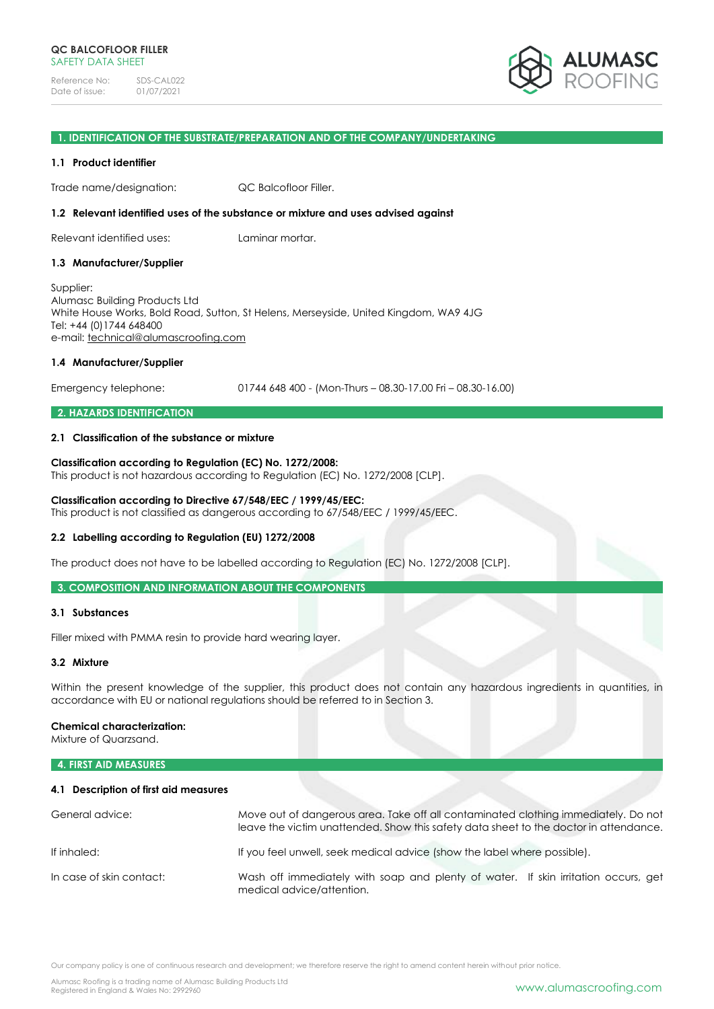

#### **1. IDENTIFICATION OF THE SUBSTRATE/PREPARATION AND OF THE COMPANY/UNDERTAKING**

## **1.1 Product identifier**

Trade name/designation: QC Balcofloor Filler.

#### **1.2 Relevant identified uses of the substance or mixture and uses advised against**

Relevant identified uses: Laminar mortar.

## **1.3 Manufacturer/Supplier**

Supplier: Alumasc Building Products Ltd White House Works, Bold Road, Sutton, St Helens, Merseyside, United Kingdom, WA9 4JG Tel: +44 (0)1744 648400 e-mail: [technical@alumascroofing.com](mailto:technical@alumascroofing.com)

## **1.4 Manufacturer/Supplier**

Emergency telephone: 01744 648 400 - (Mon-Thurs – 08.30-17.00 Fri – 08.30-16.00)

# **2. HAZARDS IDENTIFICATION**

## **2.1 Classification of the substance or mixture**

## **Classification according to Regulation (EC) No. 1272/2008:**

This product is not hazardous according to Regulation (EC) No. 1272/2008 [CLP].

#### **Classification according to Directive 67/548/EEC / 1999/45/EEC:** This product is not classified as dangerous according to 67/548/EEC / 1999/45/EEC.

## **2.2 Labelling according to Regulation (EU) 1272/2008**

The product does not have to be labelled according to Regulation (EC) No. 1272/2008 [CLP].

**3. COMPOSITION AND INFORMATION ABOUT THE COMPONENTS**

## **3.1 Substances**

Filler mixed with PMMA resin to provide hard wearing layer.

## **3.2 Mixture**

Within the present knowledge of the supplier, this product does not contain any hazardous ingredients in quantities, in accordance with EU or national regulations should be referred to in Section 3.

## **Chemical characterization:**

Mixture of Quarzsand.

# **4. FIRST AID MEASURES**

#### **4.1 Description of first aid measures**

| General advice:          | Move out of dangerous area. Take off all contaminated clothing immediately. Do not<br>leave the victim unattended. Show this safety data sheet to the doctor in attendance. |  |  |
|--------------------------|-----------------------------------------------------------------------------------------------------------------------------------------------------------------------------|--|--|
| If inhaled:              | If you feel unwell, seek medical advice (show the label where possible).                                                                                                    |  |  |
| In case of skin contact: | Wash off immediately with soap and plenty of water. If skin irritation occurs, get<br>medical advice/attention.                                                             |  |  |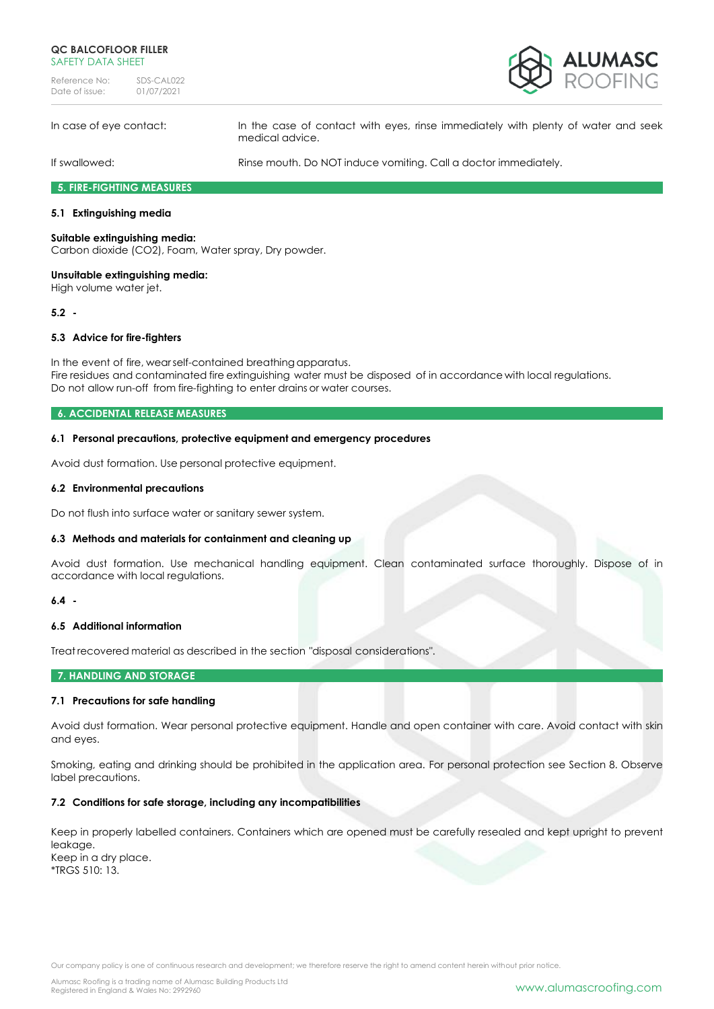## **QC BALCOFLOOR FILLER** SAFFTY DATA SHFFT

Reference No: SDS-CAL022<br>Date of issue: 01/07/2021 Date of issue:



In case of eye contact: In the case of contact with eyes, rinse immediately with plenty of water and seek medical advice.

If swallowed: Rinse mouth. Do NOT induce vomiting. Call a doctor immediately.

**5. FIRE-FIGHTING MEASURES**

## **5.1 Extinguishing media**

## **Suitable extinguishing media:**

Carbon dioxide (CO2), Foam, Water spray, Dry powder.

## **Unsuitable extinguishing media:**

High volume water jet.

## **5.2 -**

## **5.3 Advice for fire-fighters**

In the event of fire, wearself-contained breathing apparatus. Fire residues and contaminated fire extinguishing water must be disposed of in accordance with local regulations. Do not allow run-off from fire-fighting to enter drains or water courses.

#### **6. ACCIDENTAL RELEASE MEASURES**

## **6.1 Personal precautions, protective equipment and emergency procedures**

Avoid dust formation. Use personal protective equipment.

## **6.2 Environmental precautions**

Do not flush into surface water or sanitary sewer system.

## **6.3 Methods and materials for containment and cleaning up**

Avoid dust formation. Use mechanical handling equipment. Clean contaminated surface thoroughly. Dispose of in accordance with local regulations.

## **6.4 -**

## **6.5 Additional information**

Treat recovered material as described in the section "disposal considerations".

#### **7. HANDLING AND STORAGE**

## **7.1 Precautions for safe handling**

Avoid dust formation. Wear personal protective equipment. Handle and open container with care. Avoid contact with skin and eyes.

Smoking, eating and drinking should be prohibited in the application area. For personal protection see Section 8. Observe label precautions.

#### **7.2 Conditions for safe storage, including any incompatibilities**

Keep in properly labelled containers. Containers which are opened must be carefully resealed and kept upright to prevent leakage. Keep in a dry place. \*TRGS 510: 13.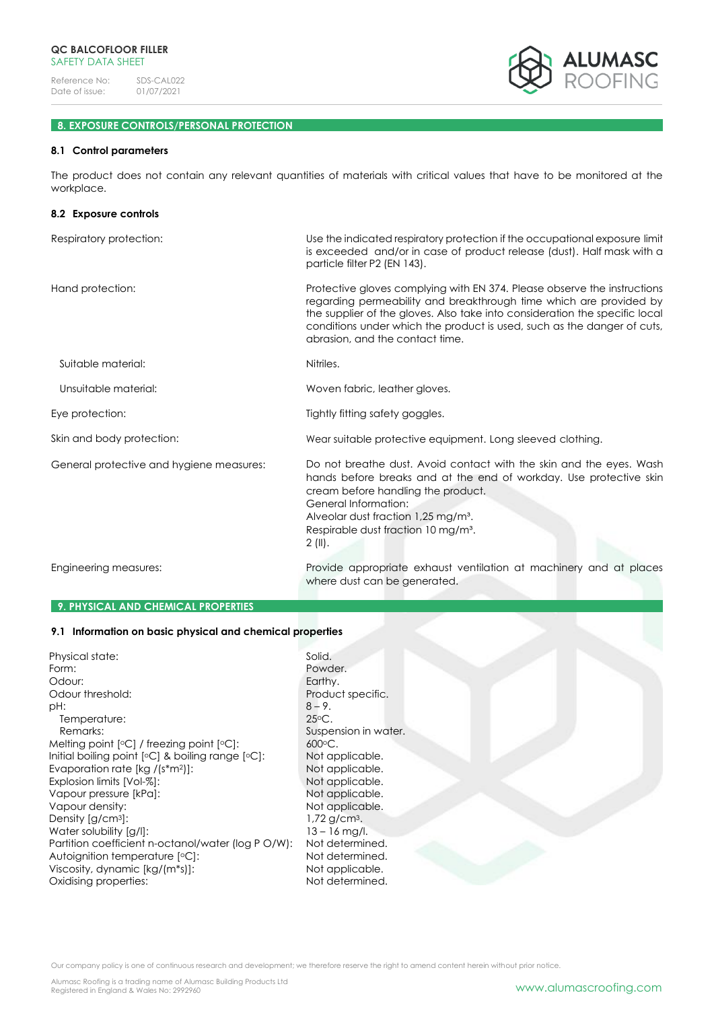

# **8. EXPOSURE CONTROLS/PERSONAL PROTECTION**

# **8.1 Control parameters**

The product does not contain any relevant quantities of materials with critical values that have to be monitored at the workplace.

| 8.2 Exposure controls                    |                                                                                                                                                                                                                                                                                                                                             |
|------------------------------------------|---------------------------------------------------------------------------------------------------------------------------------------------------------------------------------------------------------------------------------------------------------------------------------------------------------------------------------------------|
| Respiratory protection:                  | Use the indicated respiratory protection if the occupational exposure limit<br>is exceeded and/or in case of product release (dust). Half mask with a<br>particle filter P2 (EN 143).                                                                                                                                                       |
| Hand protection:                         | Protective gloves complying with EN 374. Please observe the instructions<br>regarding permeability and breakthrough time which are provided by<br>the supplier of the gloves. Also take into consideration the specific local<br>conditions under which the product is used, such as the danger of cuts,<br>abrasion, and the contact time. |
| Suitable material:                       | Nitriles.                                                                                                                                                                                                                                                                                                                                   |
| Unsuitable material:                     | Woven fabric, leather gloves.                                                                                                                                                                                                                                                                                                               |
| Eye protection:                          | Tightly fitting safety goggles.                                                                                                                                                                                                                                                                                                             |
| Skin and body protection:                | Wear suitable protective equipment. Long sleeved clothing.                                                                                                                                                                                                                                                                                  |
| General protective and hygiene measures: | Do not breathe dust. Avoid contact with the skin and the eyes. Wash<br>hands before breaks and at the end of workday. Use protective skin<br>cream before handling the product.<br>General Information:<br>Alveolar dust fraction 1,25 mg/m <sup>3</sup> .<br>Respirable dust fraction 10 mg/m <sup>3</sup> .<br>$2$ (II).                  |
| Engineering measures:                    | Provide appropriate exhaust ventilation at machinery and at places<br>where dust can be generated.                                                                                                                                                                                                                                          |

## **9. PHYSICAL AND CHEMICAL PROPERTIES**

#### **9.1 Information on basic physical and chemical properties**

| Physical state:                                       | Solid.                     |
|-------------------------------------------------------|----------------------------|
| Form:                                                 | Powder.                    |
| Odour:                                                | Earthy.                    |
| Odour threshold:                                      | Product sper               |
| pH:                                                   | $8 - 9.$                   |
| Temperature:                                          | $25\circ C.$               |
| Remarks:                                              | Suspension in              |
| Melting point $[°C]$ / freezing point $[°C]$ :        | $600 \circ C$ .            |
| Initial boiling point $[°C]$ & boiling range $[°C]$ : | Not applical               |
| Evaporation rate $[kg / (s*m2)]$ :                    | Not applical               |
| Explosion limits [Vol-%]:                             | Not applical               |
| Vapour pressure [kPa]:                                | Not applical               |
| Vapour density:                                       | Not applical               |
| Density $\left[\frac{\text{q}}{\text{cm}^3}\right]$ : | $1,72$ g/cm <sup>3</sup> . |
| Water solubility [g/l]:                               | $13 - 16$ mg/l.            |
| Partition coefficient n-octanol/water (log P O/W):    | Not determir               |
| Autoignition temperature [°C]:                        | Not determir               |
| Viscosity, dynamic [kg/(m*s)]:                        | Not applical               |
| Oxidising properties:                                 | Not determir               |

t specific. sion in water. plicable. .<br>plicable. .<br>plicable. plicable. plicable.<br>'cm<sup>3</sup>. termined. termined. plicable. termined.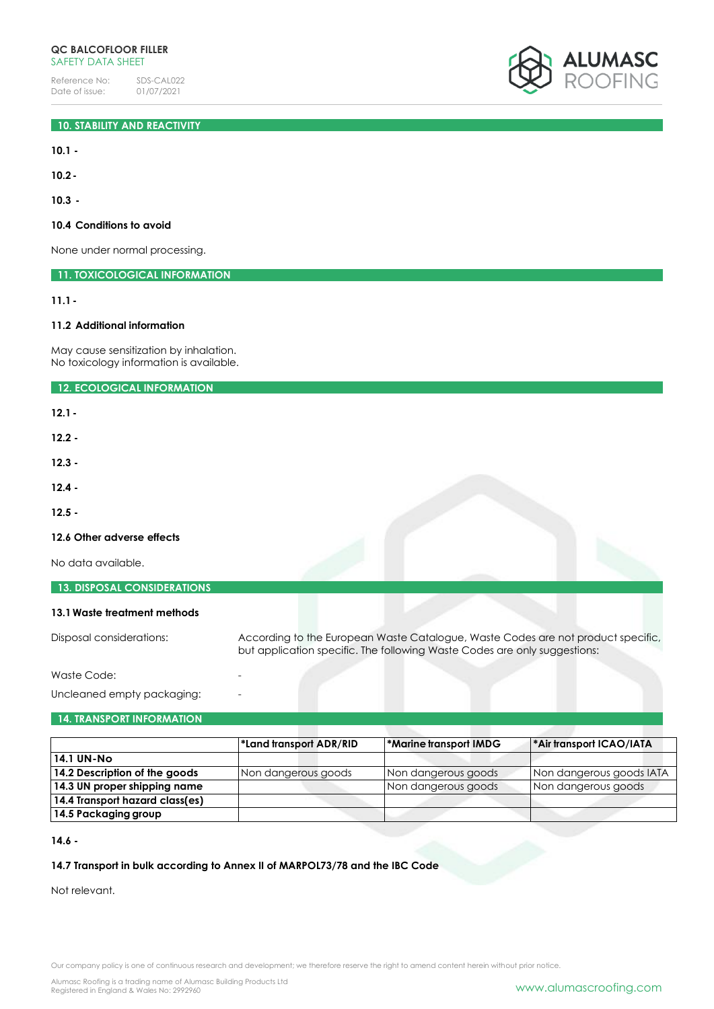# **10. STABILITY AND REACTIVITY**

**10.1 -**

**10.2-**

**10.3 -**

## **10.4 Conditions to avoid**

None under normal processing.

**11. TOXICOLOGICAL INFORMATION**

**11.1-**

# **11.2 Additional information**

May cause sensitization by inhalation. No toxicology information is available.

**12. ECOLOGICAL INFORMATION**

**12.1-**

**12.2 -**

**12.3 -**

**12.4 -**

**12.5 -**

## **12.6 Other adverse effects**

No data available.

| <b>13. DISPOSAL CONSIDERATIONS</b> |                                                                                                                                                               |  |
|------------------------------------|---------------------------------------------------------------------------------------------------------------------------------------------------------------|--|
| 13.1 Waste treatment methods       |                                                                                                                                                               |  |
| Disposal considerations:           | According to the European Waste Catalogue, Waste Codes are not product specific,<br>but application specific. The following Waste Codes are only suggestions: |  |

Waste Code:

Uncleaned empty packaging:

## **14. TRANSPORT INFORMATION**

|                                 | *Land transport ADR/RID | <b>Marine transport IMDG</b> | <sup>*</sup> Air transport ICAO/IATA |
|---------------------------------|-------------------------|------------------------------|--------------------------------------|
| 14.1 UN-No                      |                         |                              |                                      |
| 14.2 Description of the goods   | Non dangerous goods     | Non dangerous goods          | Non dangerous goods IATA             |
| 14.3 UN proper shipping name    |                         | Non dangerous goods          | Non dangerous goods                  |
| 14.4 Transport hazard class(es) |                         |                              |                                      |
| 14.5 Packaging group            |                         |                              |                                      |

**14.6 -**

# **14.7 Transport in bulk according to Annex II of MARPOL73/78 and the IBC Code**

Not relevant.

Our company policy is one of continuous research and development; we therefore reserve the right to amend content herein without prior notice.